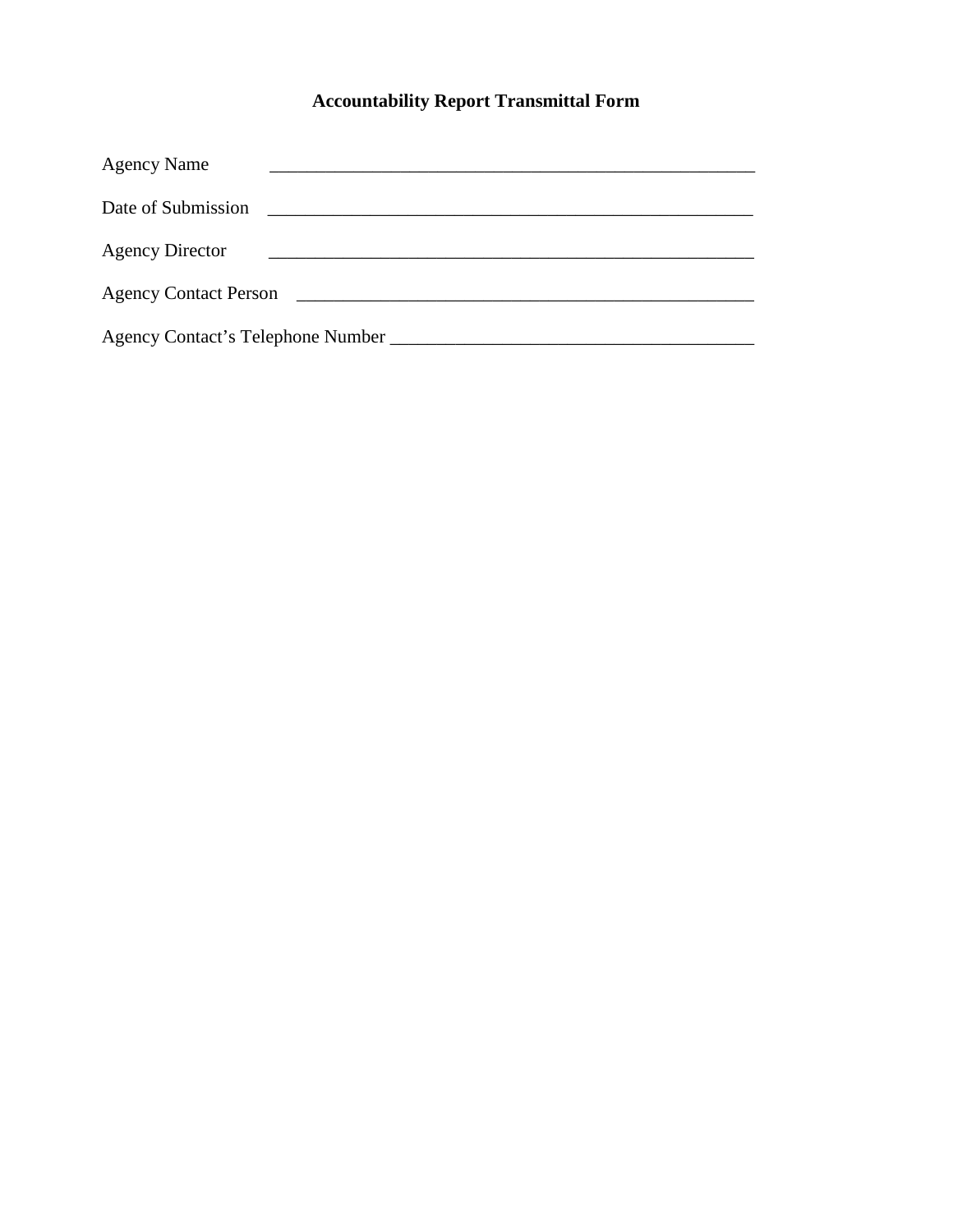## **Accountability Report Transmittal Form**

| <b>Agency Name</b>                                                               |
|----------------------------------------------------------------------------------|
| Date of Submission                                                               |
| <b>Agency Director</b>                                                           |
| <b>Agency Contact Person</b><br><u> 1980 - John Stone, mars et al. (</u> † 1920) |
| Agency Contact's Telephone Number                                                |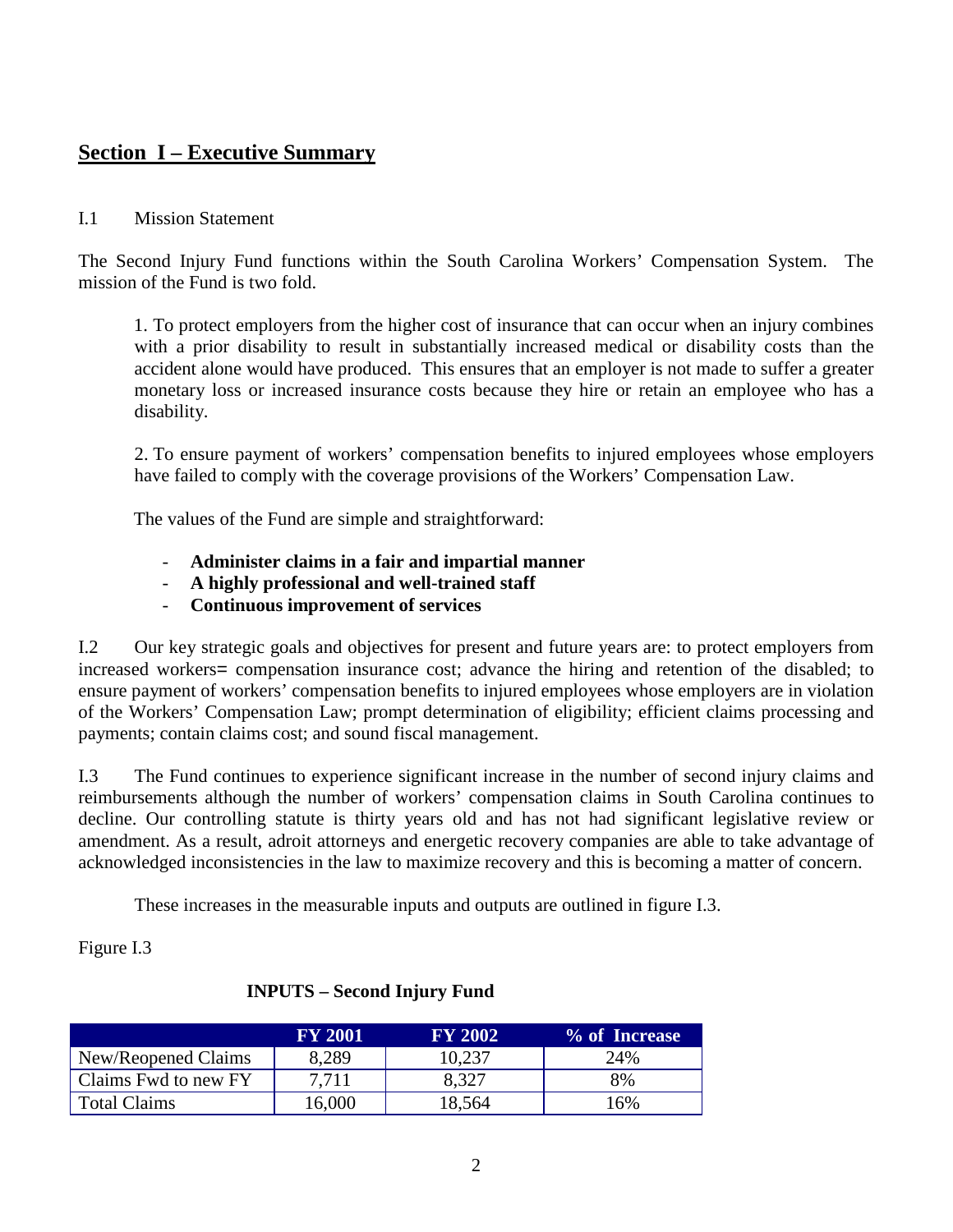## **Section I – Executive Summary**

#### I.1 Mission Statement

The Second Injury Fund functions within the South Carolina Workers' Compensation System. The mission of the Fund is two fold.

1. To protect employers from the higher cost of insurance that can occur when an injury combines with a prior disability to result in substantially increased medical or disability costs than the accident alone would have produced. This ensures that an employer is not made to suffer a greater monetary loss or increased insurance costs because they hire or retain an employee who has a disability.

2. To ensure payment of workers' compensation benefits to injured employees whose employers have failed to comply with the coverage provisions of the Workers' Compensation Law.

The values of the Fund are simple and straightforward:

- **Administer claims in a fair and impartial manner**
- **A highly professional and well-trained staff**
- **Continuous improvement of services**

I.2 Our key strategic goals and objectives for present and future years are: to protect employers from increased workers= compensation insurance cost; advance the hiring and retention of the disabled; to ensure payment of workers' compensation benefits to injured employees whose employers are in violation of the Workers' Compensation Law; prompt determination of eligibility; efficient claims processing and payments; contain claims cost; and sound fiscal management.

I.3 The Fund continues to experience significant increase in the number of second injury claims and reimbursements although the number of workers' compensation claims in South Carolina continues to decline. Our controlling statute is thirty years old and has not had significant legislative review or amendment. As a result, adroit attorneys and energetic recovery companies are able to take advantage of acknowledged inconsistencies in the law to maximize recovery and this is becoming a matter of concern.

These increases in the measurable inputs and outputs are outlined in figure I.3.

Figure I.3

|                      | <b>FY 2001</b> | <b>FY 2002</b> | % of Increase |
|----------------------|----------------|----------------|---------------|
| New/Reopened Claims  | 8,289          | 10,237         | 24%           |
| Claims Fwd to new FY | 7.711          | 8.327          | 8%            |
| <b>Total Claims</b>  | 16,000         | 18,564         | 16%           |

#### **INPUTS – Second Injury Fund**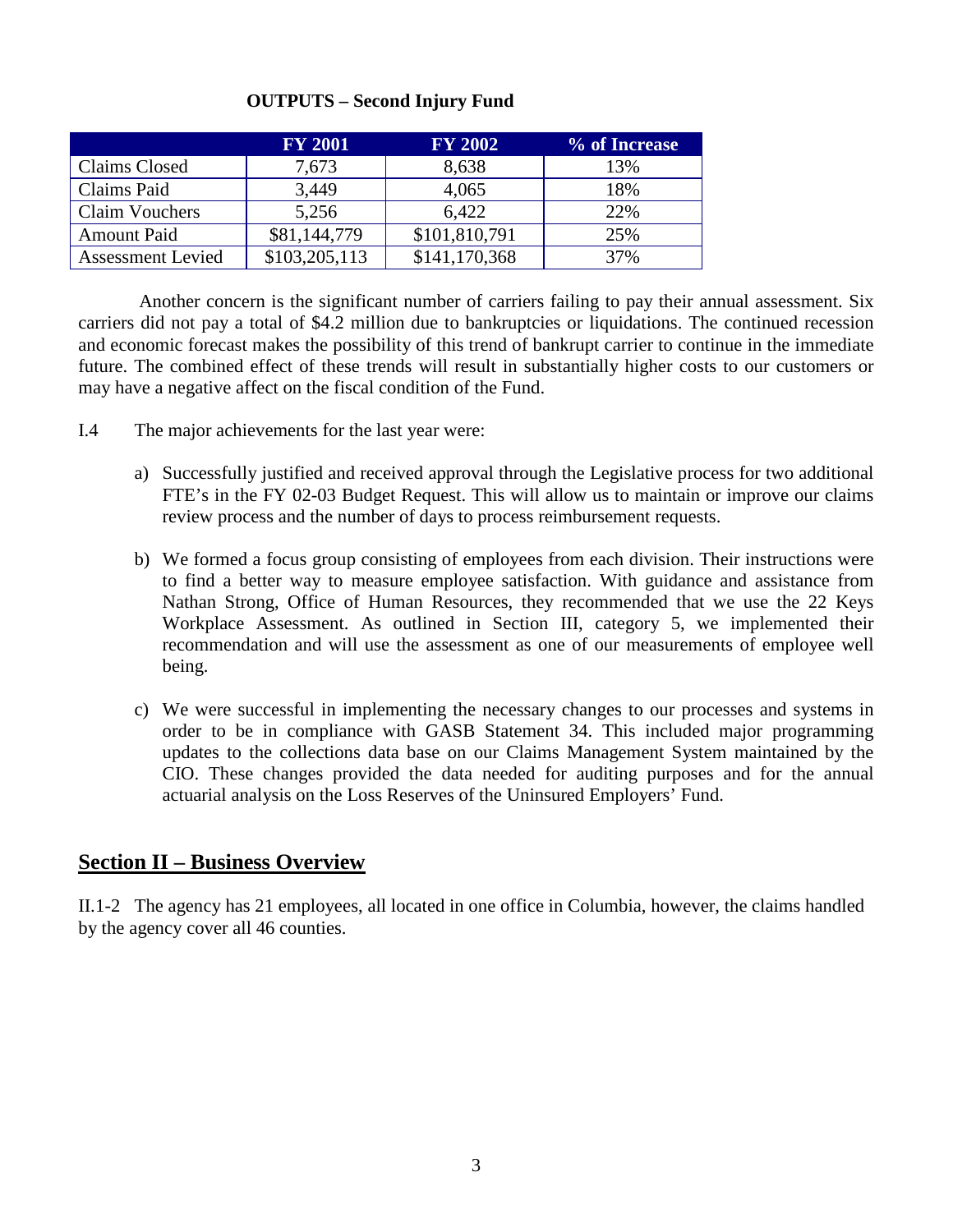|                          | <b>FY 2001</b> | <b>FY 2002</b> | % of Increase |
|--------------------------|----------------|----------------|---------------|
| Claims Closed            | 7,673          | 8,638          | 13%           |
| Claims Paid              | 3,449          | 4,065          | 18%           |
| <b>Claim Vouchers</b>    | 5,256          | 6.422          | 22%           |
| <b>Amount Paid</b>       | \$81,144,779   | \$101,810,791  | 25%           |
| <b>Assessment Levied</b> | \$103,205,113  | \$141,170,368  | 37%           |

#### **OUTPUTS – Second Injury Fund**

Another concern is the significant number of carriers failing to pay their annual assessment. Six carriers did not pay a total of \$4.2 million due to bankruptcies or liquidations. The continued recession and economic forecast makes the possibility of this trend of bankrupt carrier to continue in the immediate future. The combined effect of these trends will result in substantially higher costs to our customers or may have a negative affect on the fiscal condition of the Fund.

- I.4 The major achievements for the last year were:
	- a) Successfully justified and received approval through the Legislative process for two additional FTE's in the FY 02-03 Budget Request. This will allow us to maintain or improve our claims review process and the number of days to process reimbursement requests.
	- b) We formed a focus group consisting of employees from each division. Their instructions were to find a better way to measure employee satisfaction. With guidance and assistance from Nathan Strong, Office of Human Resources, they recommended that we use the 22 Keys Workplace Assessment. As outlined in Section III, category 5, we implemented their recommendation and will use the assessment as one of our measurements of employee well being.
	- c) We were successful in implementing the necessary changes to our processes and systems in order to be in compliance with GASB Statement 34. This included major programming updates to the collections data base on our Claims Management System maintained by the CIO. These changes provided the data needed for auditing purposes and for the annual actuarial analysis on the Loss Reserves of the Uninsured Employers' Fund.

## **Section II – Business Overview**

II.1-2 The agency has 21 employees, all located in one office in Columbia, however, the claims handled by the agency cover all 46 counties.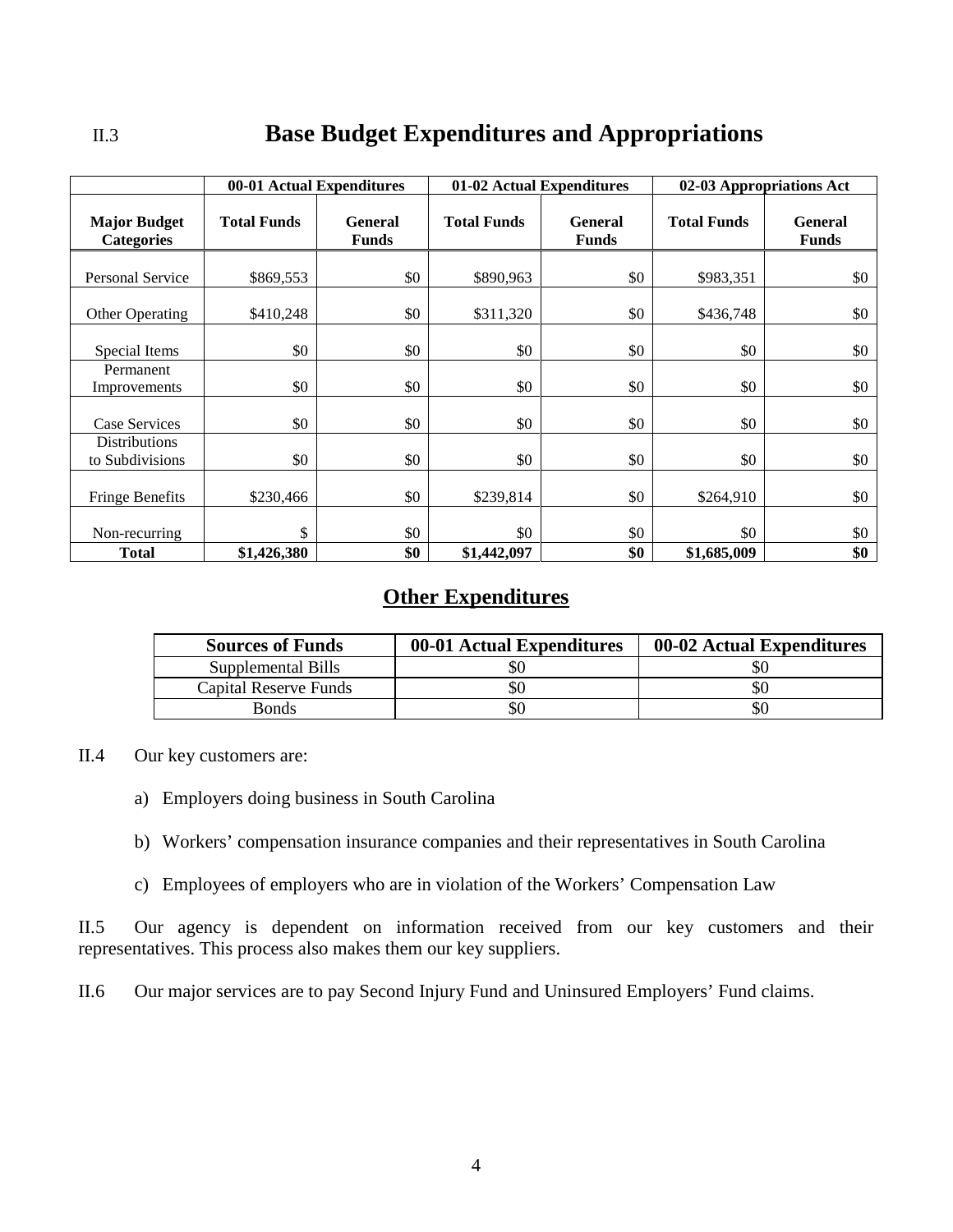## II.3 **Base Budget Expenditures and Appropriations**

|                                          | 00-01 Actual Expenditures |                                | 01-02 Actual Expenditures |                                | 02-03 Appropriations Act |                                |
|------------------------------------------|---------------------------|--------------------------------|---------------------------|--------------------------------|--------------------------|--------------------------------|
| <b>Major Budget</b><br><b>Categories</b> | <b>Total Funds</b>        | <b>General</b><br><b>Funds</b> | <b>Total Funds</b>        | <b>General</b><br><b>Funds</b> | <b>Total Funds</b>       | <b>General</b><br><b>Funds</b> |
| <b>Personal Service</b>                  | \$869,553                 | \$0                            | \$890,963                 | \$0                            | \$983,351                | \$0                            |
| Other Operating                          | \$410,248                 | \$0                            | \$311,320                 | \$0                            | \$436,748                | \$0                            |
| Special Items                            | \$0                       | \$0                            | \$0                       | \$0                            | \$0                      | \$0                            |
| Permanent<br>Improvements                | \$0                       | \$0                            | \$0                       | \$0                            | \$0                      | \$0                            |
| Case Services                            | \$0                       | \$0                            | \$0                       | \$0                            | \$0                      | \$0                            |
| <b>Distributions</b><br>to Subdivisions  | \$0                       | \$0                            | \$0                       | \$0                            | \$0                      | \$0                            |
| <b>Fringe Benefits</b>                   | \$230,466                 | \$0                            | \$239,814                 | \$0                            | \$264,910                | \$0                            |
| Non-recurring                            | \$                        | \$0                            | \$0                       | \$0                            | \$0                      | \$0                            |
| <b>Total</b>                             | \$1,426,380               | \$0                            | \$1,442,097               | \$0                            | \$1,685,009              | \$0                            |

## **Other Expenditures**

| <b>Sources of Funds</b> | 00-01 Actual Expenditures | 00-02 Actual Expenditures |
|-------------------------|---------------------------|---------------------------|
| Supplemental Bills      | 50                        | SС                        |
| Capital Reserve Funds   | 90                        | SС                        |
| <b>Bonds</b>            | SU                        | \$0                       |

- II.4 Our key customers are:
	- a) Employers doing business in South Carolina
	- b) Workers' compensation insurance companies and their representatives in South Carolina
	- c) Employees of employers who are in violation of the Workers' Compensation Law

II.5 Our agency is dependent on information received from our key customers and their representatives. This process also makes them our key suppliers.

II.6 Our major services are to pay Second Injury Fund and Uninsured Employers' Fund claims.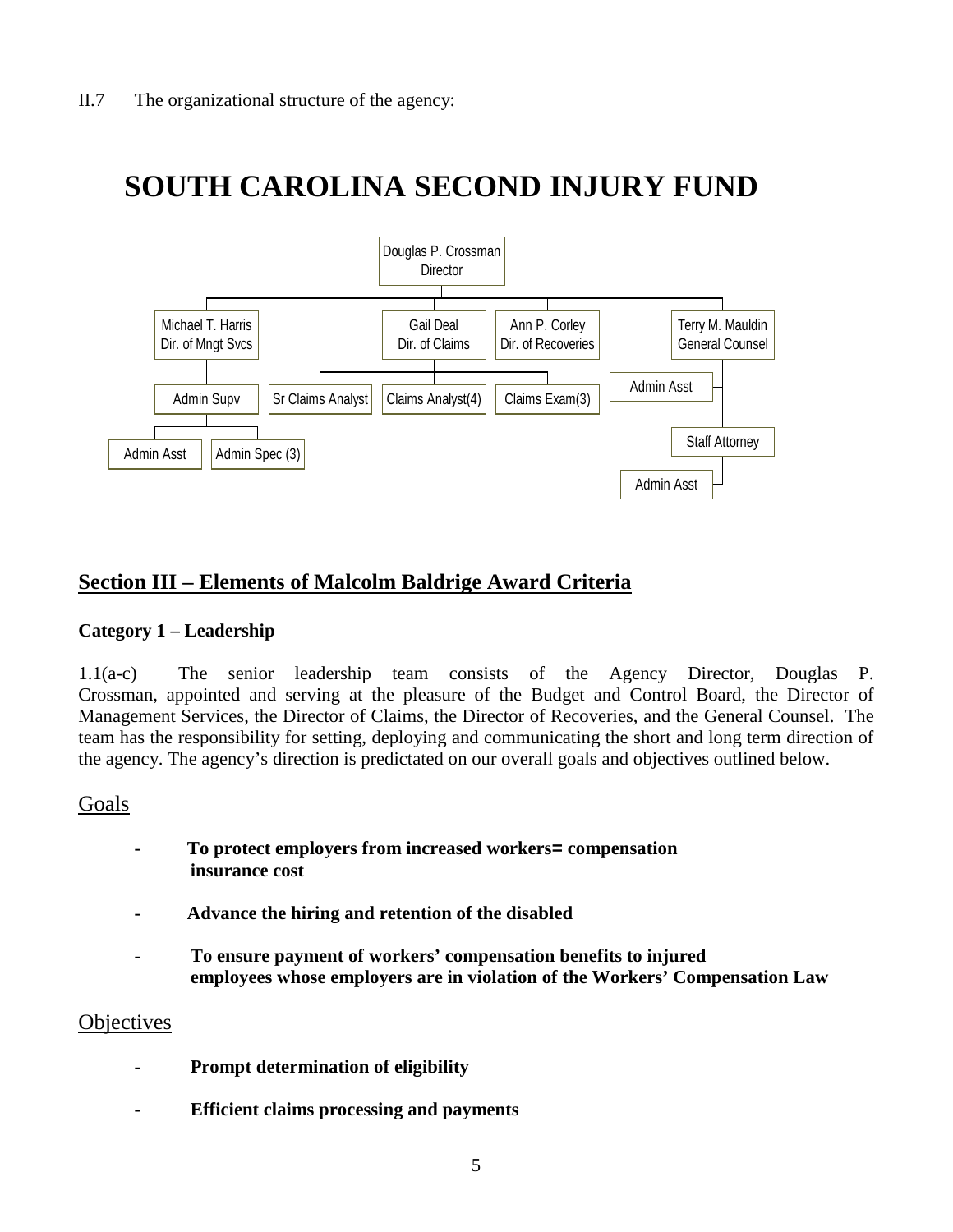# **SOUTH CAROLINA SECOND INJURY FUND**



## **Section III – Elements of Malcolm Baldrige Award Criteria**

#### **Category 1 – Leadership**

1.1(a-c) The senior leadership team consists of the Agency Director, Douglas P. Crossman, appointed and serving at the pleasure of the Budget and Control Board, the Director of Management Services, the Director of Claims, the Director of Recoveries, and the General Counsel. The team has the responsibility for setting, deploying and communicating the short and long term direction of the agency. The agency's direction is predictated on our overall goals and objectives outlined below.

#### Goals

- **To protect employers from increased workers= compensation insurance cost**
- **Advance the hiring and retention of the disabled**
- **To ensure payment of workers' compensation benefits to injured employees whose employers are in violation of the Workers' Compensation Law**

#### **Objectives**

- **Prompt determination of eligibility**
- **Efficient claims processing and payments**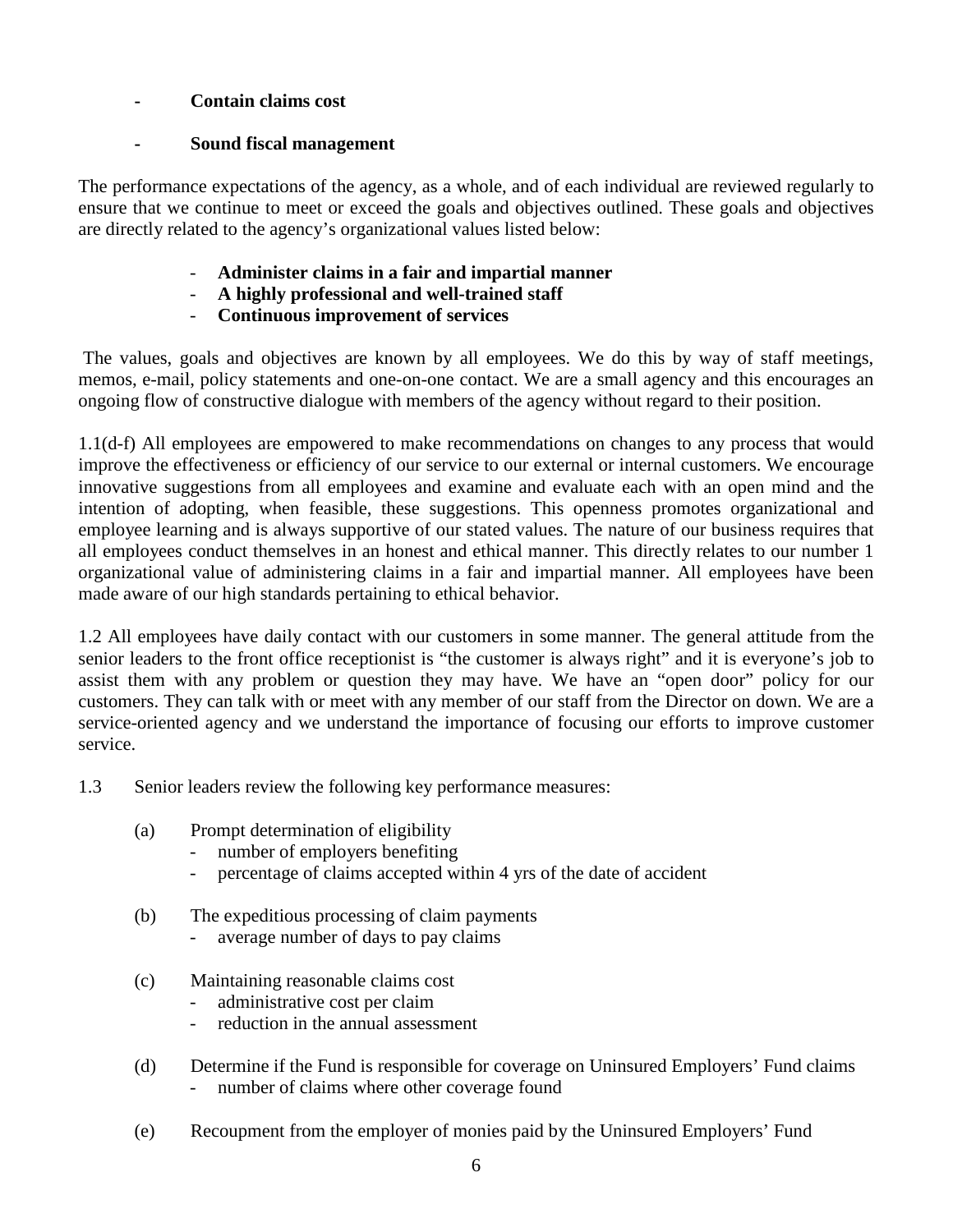#### **- Contain claims cost**

#### **- Sound fiscal management**

The performance expectations of the agency, as a whole, and of each individual are reviewed regularly to ensure that we continue to meet or exceed the goals and objectives outlined. These goals and objectives are directly related to the agency's organizational values listed below:

- **Administer claims in a fair and impartial manner**
- **A highly professional and well-trained staff**
- **Continuous improvement of services**

The values, goals and objectives are known by all employees. We do this by way of staff meetings, memos, e-mail, policy statements and one-on-one contact. We are a small agency and this encourages an ongoing flow of constructive dialogue with members of the agency without regard to their position.

1.1(d-f) All employees are empowered to make recommendations on changes to any process that would improve the effectiveness or efficiency of our service to our external or internal customers. We encourage innovative suggestions from all employees and examine and evaluate each with an open mind and the intention of adopting, when feasible, these suggestions. This openness promotes organizational and employee learning and is always supportive of our stated values. The nature of our business requires that all employees conduct themselves in an honest and ethical manner. This directly relates to our number 1 organizational value of administering claims in a fair and impartial manner. All employees have been made aware of our high standards pertaining to ethical behavior.

1.2 All employees have daily contact with our customers in some manner. The general attitude from the senior leaders to the front office receptionist is "the customer is always right" and it is everyone's job to assist them with any problem or question they may have. We have an "open door" policy for our customers. They can talk with or meet with any member of our staff from the Director on down. We are a service-oriented agency and we understand the importance of focusing our efforts to improve customer service.

- 1.3 Senior leaders review the following key performance measures:
	- (a) Prompt determination of eligibility
		- number of employers benefiting
		- percentage of claims accepted within 4 yrs of the date of accident
	- (b) The expeditious processing of claim payments
		- average number of days to pay claims
	- (c) Maintaining reasonable claims cost
		- administrative cost per claim
		- reduction in the annual assessment
	- (d) Determine if the Fund is responsible for coverage on Uninsured Employers' Fund claims - number of claims where other coverage found
	- (e) Recoupment from the employer of monies paid by the Uninsured Employers' Fund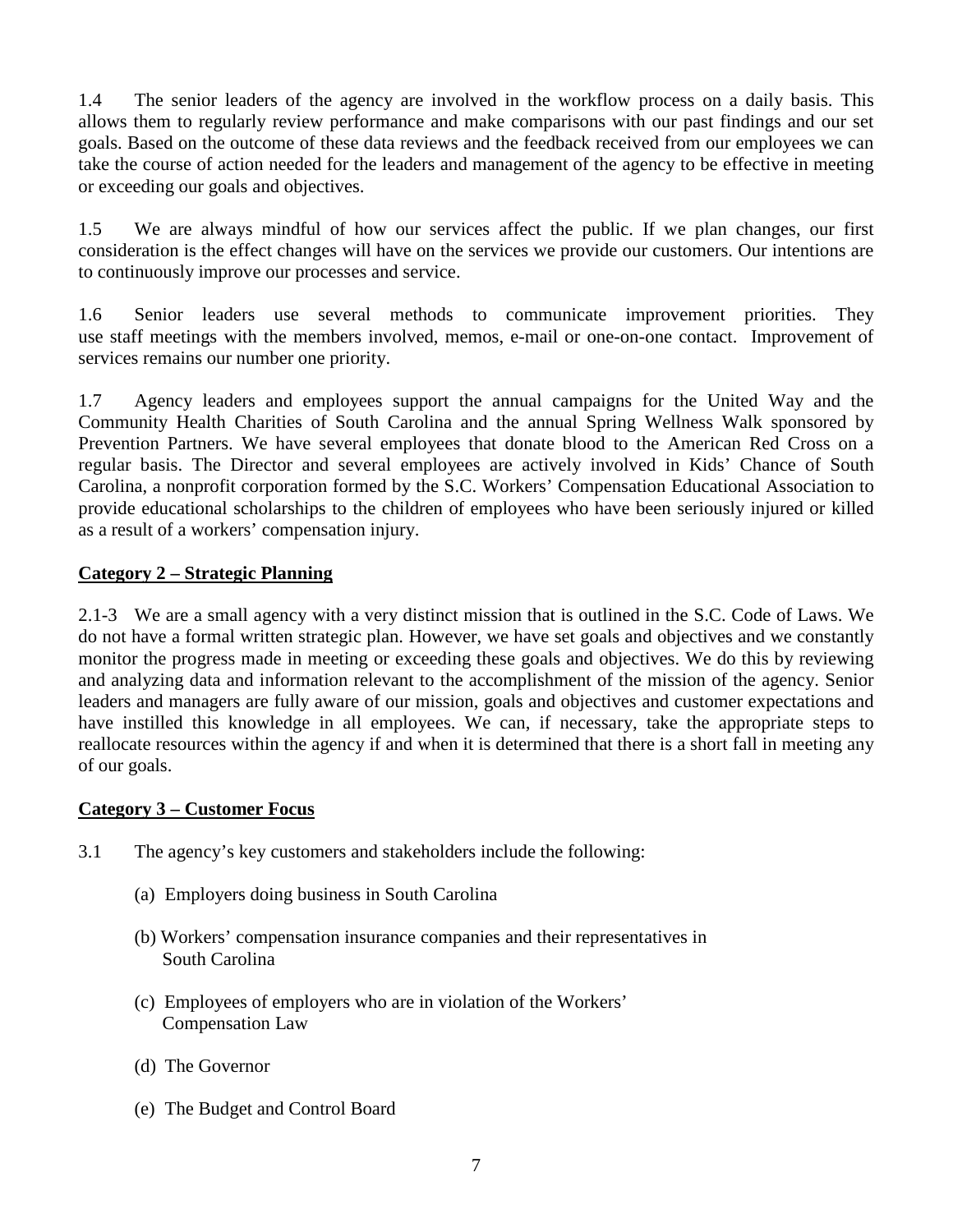1.4 The senior leaders of the agency are involved in the workflow process on a daily basis. This allows them to regularly review performance and make comparisons with our past findings and our set goals. Based on the outcome of these data reviews and the feedback received from our employees we can take the course of action needed for the leaders and management of the agency to be effective in meeting or exceeding our goals and objectives.

1.5 We are always mindful of how our services affect the public. If we plan changes, our first consideration is the effect changes will have on the services we provide our customers. Our intentions are to continuously improve our processes and service.

1.6 Senior leaders use several methods to communicate improvement priorities. They use staff meetings with the members involved, memos, e-mail or one-on-one contact. Improvement of services remains our number one priority.

1.7 Agency leaders and employees support the annual campaigns for the United Way and the Community Health Charities of South Carolina and the annual Spring Wellness Walk sponsored by Prevention Partners. We have several employees that donate blood to the American Red Cross on a regular basis. The Director and several employees are actively involved in Kids' Chance of South Carolina, a nonprofit corporation formed by the S.C. Workers' Compensation Educational Association to provide educational scholarships to the children of employees who have been seriously injured or killed as a result of a workers' compensation injury.

#### **Category 2 – Strategic Planning**

2.1-3 We are a small agency with a very distinct mission that is outlined in the S.C. Code of Laws. We do not have a formal written strategic plan. However, we have set goals and objectives and we constantly monitor the progress made in meeting or exceeding these goals and objectives. We do this by reviewing and analyzing data and information relevant to the accomplishment of the mission of the agency. Senior leaders and managers are fully aware of our mission, goals and objectives and customer expectations and have instilled this knowledge in all employees. We can, if necessary, take the appropriate steps to reallocate resources within the agency if and when it is determined that there is a short fall in meeting any of our goals.

#### **Category 3 – Customer Focus**

- 3.1 The agency's key customers and stakeholders include the following:
	- (a) Employers doing business in South Carolina
	- (b) Workers' compensation insurance companies and their representatives in South Carolina
	- (c) Employees of employers who are in violation of the Workers' Compensation Law
	- (d) The Governor
	- (e) The Budget and Control Board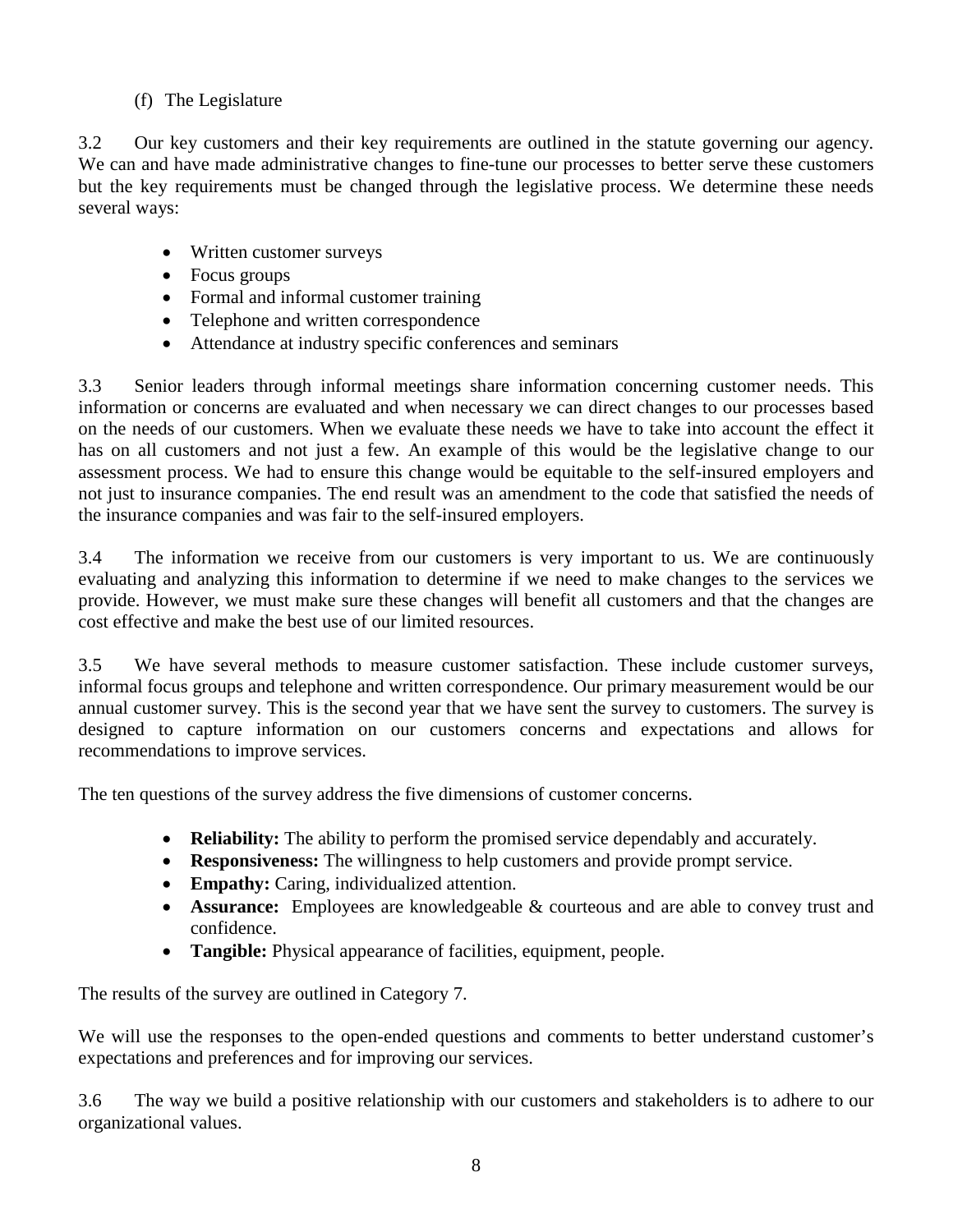#### (f) The Legislature

3.2 Our key customers and their key requirements are outlined in the statute governing our agency. We can and have made administrative changes to fine-tune our processes to better serve these customers but the key requirements must be changed through the legislative process. We determine these needs several ways:

- Written customer surveys
- Focus groups
- Formal and informal customer training
- Telephone and written correspondence
- Attendance at industry specific conferences and seminars

3.3 Senior leaders through informal meetings share information concerning customer needs. This information or concerns are evaluated and when necessary we can direct changes to our processes based on the needs of our customers. When we evaluate these needs we have to take into account the effect it has on all customers and not just a few. An example of this would be the legislative change to our assessment process. We had to ensure this change would be equitable to the self-insured employers and not just to insurance companies. The end result was an amendment to the code that satisfied the needs of the insurance companies and was fair to the self-insured employers.

3.4 The information we receive from our customers is very important to us. We are continuously evaluating and analyzing this information to determine if we need to make changes to the services we provide. However, we must make sure these changes will benefit all customers and that the changes are cost effective and make the best use of our limited resources.

3.5 We have several methods to measure customer satisfaction. These include customer surveys, informal focus groups and telephone and written correspondence. Our primary measurement would be our annual customer survey. This is the second year that we have sent the survey to customers. The survey is designed to capture information on our customers concerns and expectations and allows for recommendations to improve services.

The ten questions of the survey address the five dimensions of customer concerns.

- **Reliability:** The ability to perform the promised service dependably and accurately.
- **Responsiveness:** The willingness to help customers and provide prompt service.
- **Empathy:** Caring, individualized attention.
- **Assurance:** Employees are knowledgeable & courteous and are able to convey trust and confidence.
- **Tangible:** Physical appearance of facilities, equipment, people.

The results of the survey are outlined in Category 7.

We will use the responses to the open-ended questions and comments to better understand customer's expectations and preferences and for improving our services.

3.6 The way we build a positive relationship with our customers and stakeholders is to adhere to our organizational values.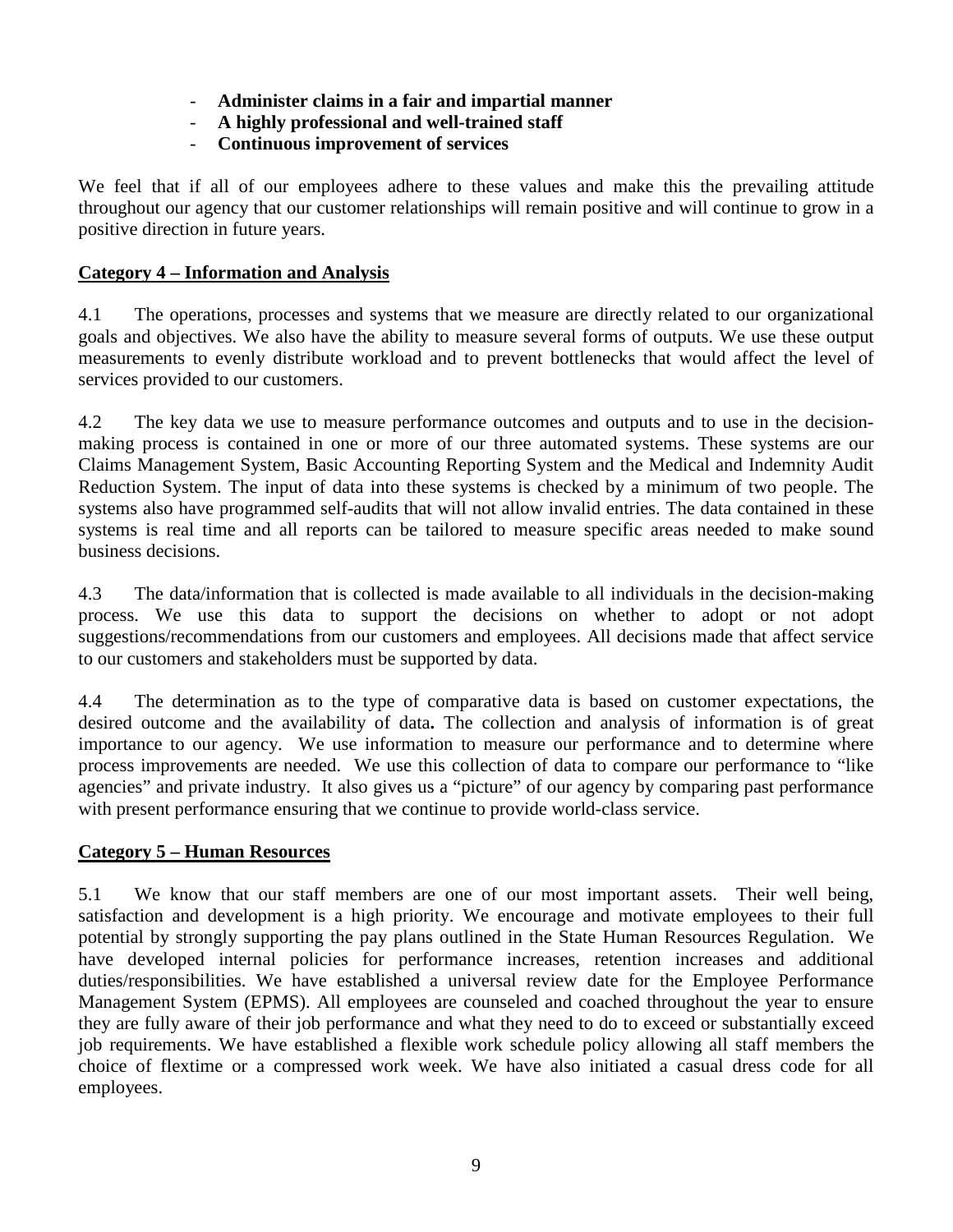- **Administer claims in a fair and impartial manner**
- **A highly professional and well-trained staff**
- **Continuous improvement of services**

We feel that if all of our employees adhere to these values and make this the prevailing attitude throughout our agency that our customer relationships will remain positive and will continue to grow in a positive direction in future years.

#### **Category 4 – Information and Analysis**

4.1 The operations, processes and systems that we measure are directly related to our organizational goals and objectives. We also have the ability to measure several forms of outputs. We use these output measurements to evenly distribute workload and to prevent bottlenecks that would affect the level of services provided to our customers.

4.2 The key data we use to measure performance outcomes and outputs and to use in the decisionmaking process is contained in one or more of our three automated systems. These systems are our Claims Management System, Basic Accounting Reporting System and the Medical and Indemnity Audit Reduction System. The input of data into these systems is checked by a minimum of two people. The systems also have programmed self-audits that will not allow invalid entries. The data contained in these systems is real time and all reports can be tailored to measure specific areas needed to make sound business decisions.

4.3 The data/information that is collected is made available to all individuals in the decision-making process. We use this data to support the decisions on whether to adopt or not adopt suggestions/recommendations from our customers and employees. All decisions made that affect service to our customers and stakeholders must be supported by data.

4.4 The determination as to the type of comparative data is based on customer expectations, the desired outcome and the availability of data**.** The collection and analysis of information is of great importance to our agency. We use information to measure our performance and to determine where process improvements are needed. We use this collection of data to compare our performance to "like agencies" and private industry. It also gives us a "picture" of our agency by comparing past performance with present performance ensuring that we continue to provide world-class service.

#### **Category 5 – Human Resources**

5.1 We know that our staff members are one of our most important assets. Their well being, satisfaction and development is a high priority. We encourage and motivate employees to their full potential by strongly supporting the pay plans outlined in the State Human Resources Regulation. We have developed internal policies for performance increases, retention increases and additional duties/responsibilities. We have established a universal review date for the Employee Performance Management System (EPMS). All employees are counseled and coached throughout the year to ensure they are fully aware of their job performance and what they need to do to exceed or substantially exceed job requirements. We have established a flexible work schedule policy allowing all staff members the choice of flextime or a compressed work week. We have also initiated a casual dress code for all employees.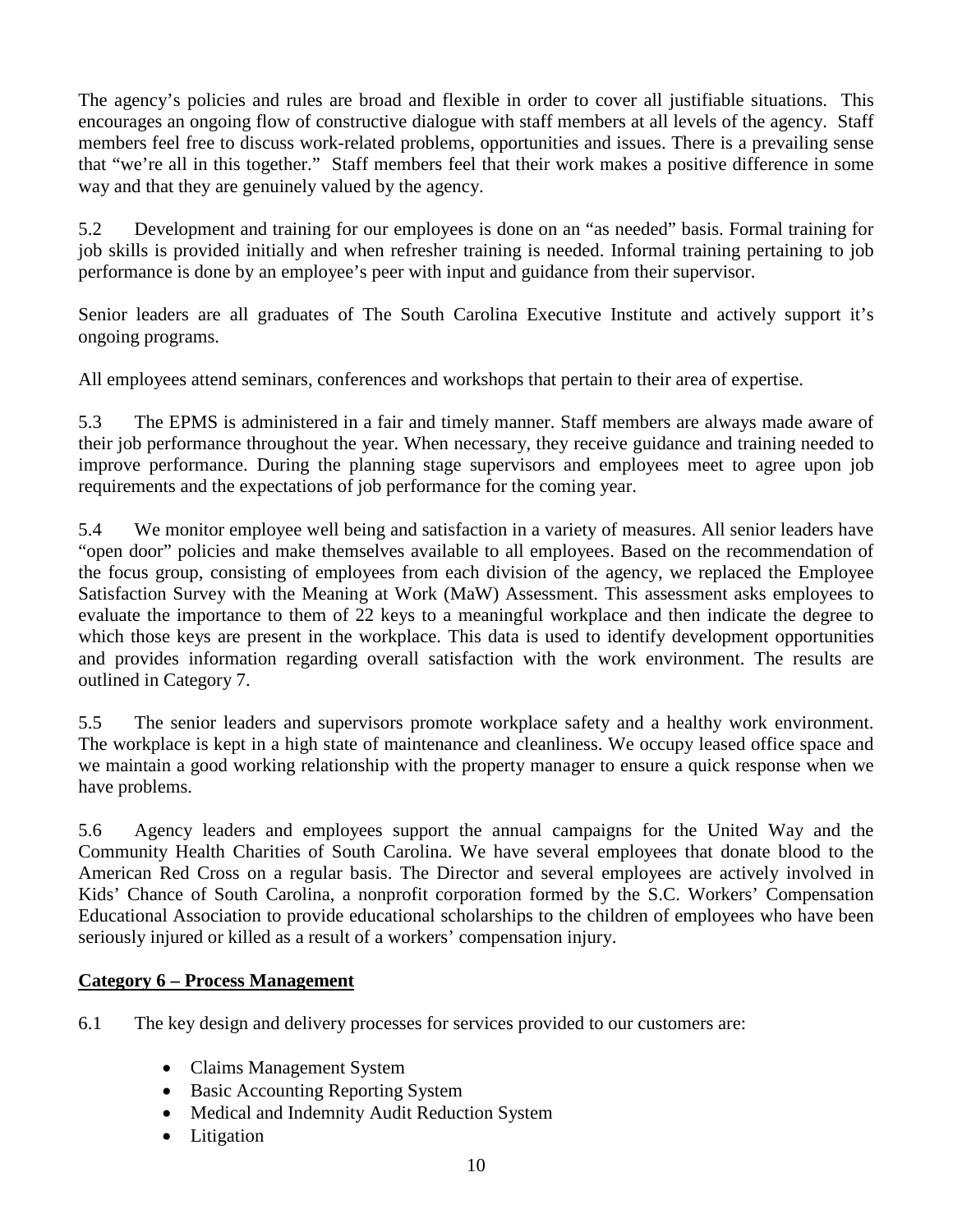The agency's policies and rules are broad and flexible in order to cover all justifiable situations. This encourages an ongoing flow of constructive dialogue with staff members at all levels of the agency. Staff members feel free to discuss work-related problems, opportunities and issues. There is a prevailing sense that "we're all in this together." Staff members feel that their work makes a positive difference in some way and that they are genuinely valued by the agency.

5.2 Development and training for our employees is done on an "as needed" basis. Formal training for job skills is provided initially and when refresher training is needed. Informal training pertaining to job performance is done by an employee's peer with input and guidance from their supervisor.

Senior leaders are all graduates of The South Carolina Executive Institute and actively support it's ongoing programs.

All employees attend seminars, conferences and workshops that pertain to their area of expertise.

5.3 The EPMS is administered in a fair and timely manner. Staff members are always made aware of their job performance throughout the year. When necessary, they receive guidance and training needed to improve performance. During the planning stage supervisors and employees meet to agree upon job requirements and the expectations of job performance for the coming year.

5.4 We monitor employee well being and satisfaction in a variety of measures. All senior leaders have "open door" policies and make themselves available to all employees. Based on the recommendation of the focus group, consisting of employees from each division of the agency, we replaced the Employee Satisfaction Survey with the Meaning at Work (MaW) Assessment. This assessment asks employees to evaluate the importance to them of 22 keys to a meaningful workplace and then indicate the degree to which those keys are present in the workplace. This data is used to identify development opportunities and provides information regarding overall satisfaction with the work environment. The results are outlined in Category 7.

5.5 The senior leaders and supervisors promote workplace safety and a healthy work environment. The workplace is kept in a high state of maintenance and cleanliness. We occupy leased office space and we maintain a good working relationship with the property manager to ensure a quick response when we have problems.

5.6 Agency leaders and employees support the annual campaigns for the United Way and the Community Health Charities of South Carolina. We have several employees that donate blood to the American Red Cross on a regular basis. The Director and several employees are actively involved in Kids' Chance of South Carolina, a nonprofit corporation formed by the S.C. Workers' Compensation Educational Association to provide educational scholarships to the children of employees who have been seriously injured or killed as a result of a workers' compensation injury.

#### **Category 6 – Process Management**

6.1 The key design and delivery processes for services provided to our customers are:

- Claims Management System
- Basic Accounting Reporting System
- Medical and Indemnity Audit Reduction System
- Litigation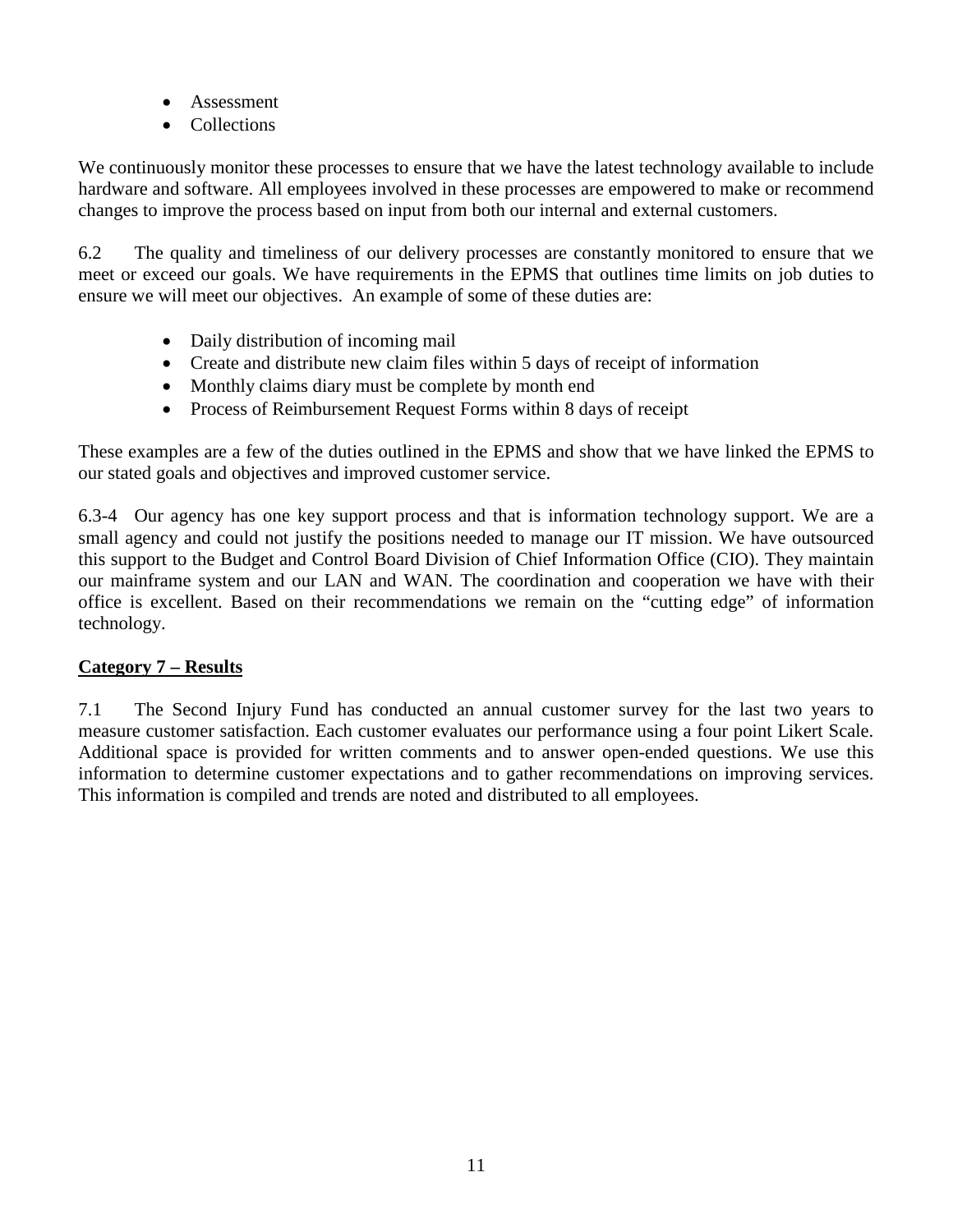- Assessment
- Collections

We continuously monitor these processes to ensure that we have the latest technology available to include hardware and software. All employees involved in these processes are empowered to make or recommend changes to improve the process based on input from both our internal and external customers.

6.2 The quality and timeliness of our delivery processes are constantly monitored to ensure that we meet or exceed our goals. We have requirements in the EPMS that outlines time limits on job duties to ensure we will meet our objectives. An example of some of these duties are:

- Daily distribution of incoming mail
- Create and distribute new claim files within 5 days of receipt of information
- Monthly claims diary must be complete by month end
- Process of Reimbursement Request Forms within 8 days of receipt

These examples are a few of the duties outlined in the EPMS and show that we have linked the EPMS to our stated goals and objectives and improved customer service.

6.3-4 Our agency has one key support process and that is information technology support. We are a small agency and could not justify the positions needed to manage our IT mission. We have outsourced this support to the Budget and Control Board Division of Chief Information Office (CIO). They maintain our mainframe system and our LAN and WAN. The coordination and cooperation we have with their office is excellent. Based on their recommendations we remain on the "cutting edge" of information technology.

## **Category 7 – Results**

7.1 The Second Injury Fund has conducted an annual customer survey for the last two years to measure customer satisfaction. Each customer evaluates our performance using a four point Likert Scale. Additional space is provided for written comments and to answer open-ended questions. We use this information to determine customer expectations and to gather recommendations on improving services. This information is compiled and trends are noted and distributed to all employees.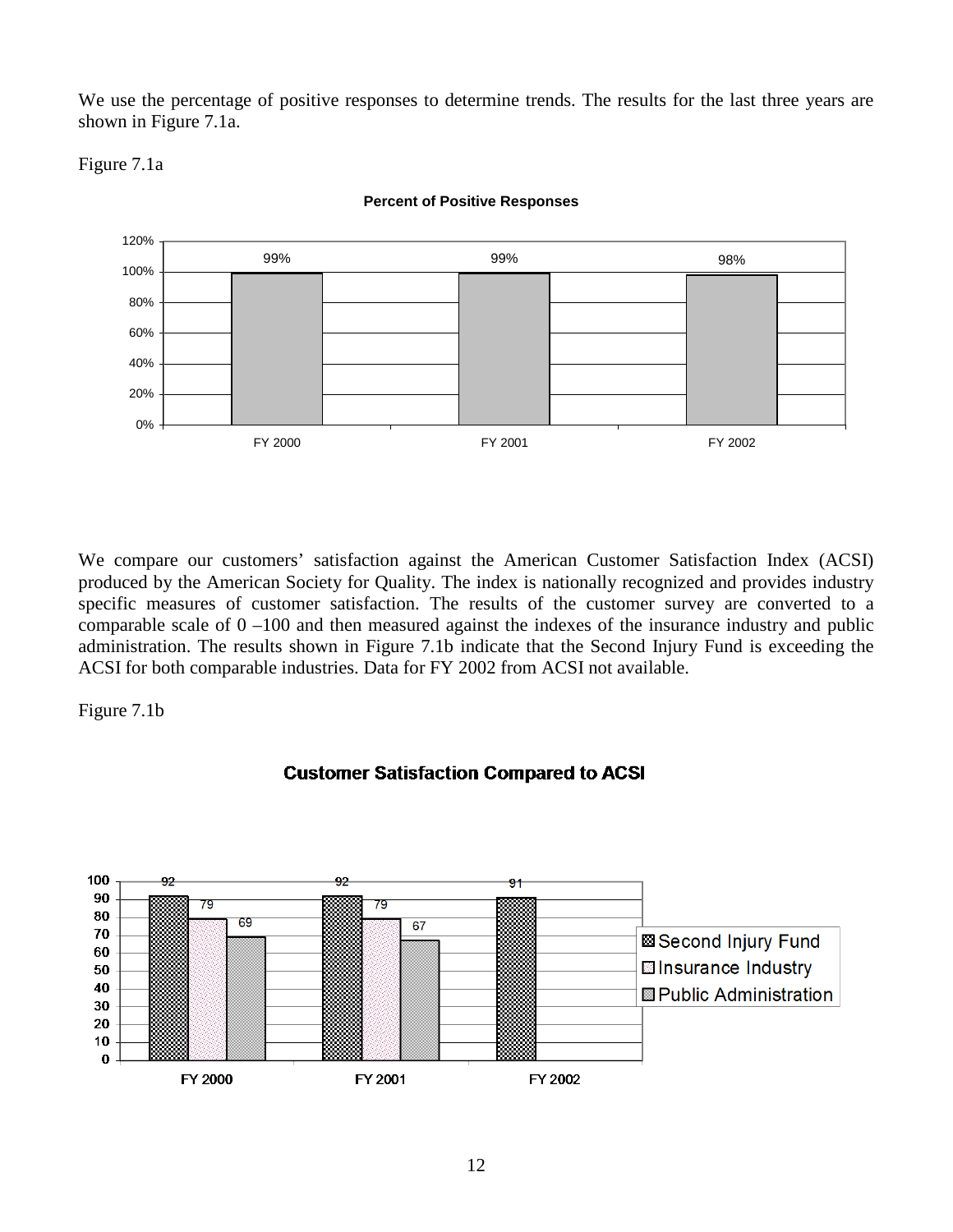We use the percentage of positive responses to determine trends. The results for the last three years are shown in Figure 7.1a.

Figure 7.1a



**Percent of Positive Responses**

We compare our customers' satisfaction against the American Customer Satisfaction Index (ACSI) produced by the American Society for Quality. The index is nationally recognized and provides industry specific measures of customer satisfaction. The results of the customer survey are converted to a comparable scale of 0 –100 and then measured against the indexes of the insurance industry and public administration. The results shown in Figure 7.1b indicate that the Second Injury Fund is exceeding the ACSI for both comparable industries. Data for FY 2002 from ACSI not available.

Figure 7.1b



#### **Customer Satisfaction Compared to ACSI**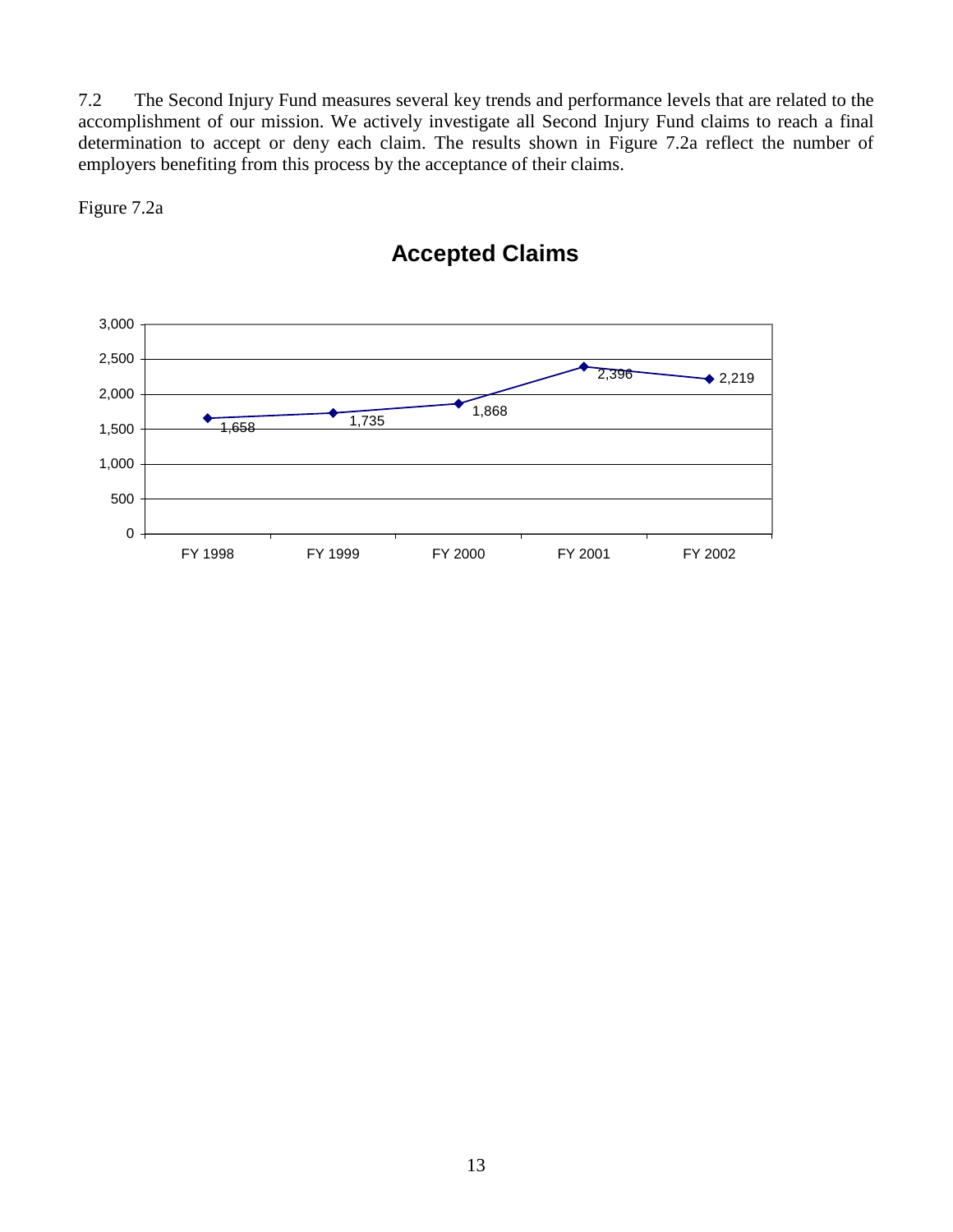7.2 The Second Injury Fund measures several key trends and performance levels that are related to the accomplishment of our mission. We actively investigate all Second Injury Fund claims to reach a final determination to accept or deny each claim. The results shown in Figure 7.2a reflect the number of employers benefiting from this process by the acceptance of their claims.

Figure 7.2a



## **Accepted Claims**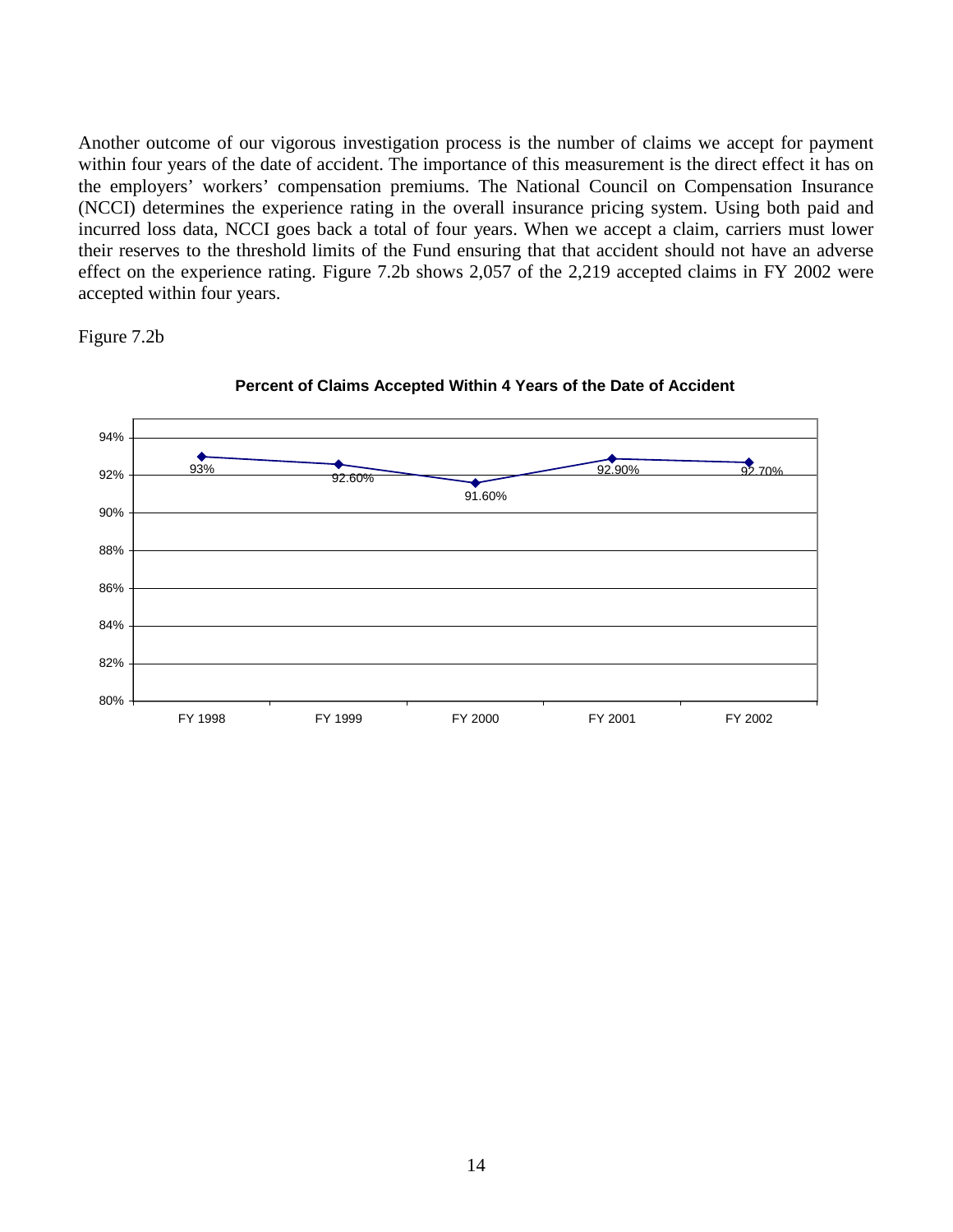Another outcome of our vigorous investigation process is the number of claims we accept for payment within four years of the date of accident. The importance of this measurement is the direct effect it has on the employers' workers' compensation premiums. The National Council on Compensation Insurance (NCCI) determines the experience rating in the overall insurance pricing system. Using both paid and incurred loss data, NCCI goes back a total of four years. When we accept a claim, carriers must lower their reserves to the threshold limits of the Fund ensuring that that accident should not have an adverse effect on the experience rating. Figure 7.2b shows 2,057 of the 2,219 accepted claims in FY 2002 were accepted within four years.

Figure 7.2b



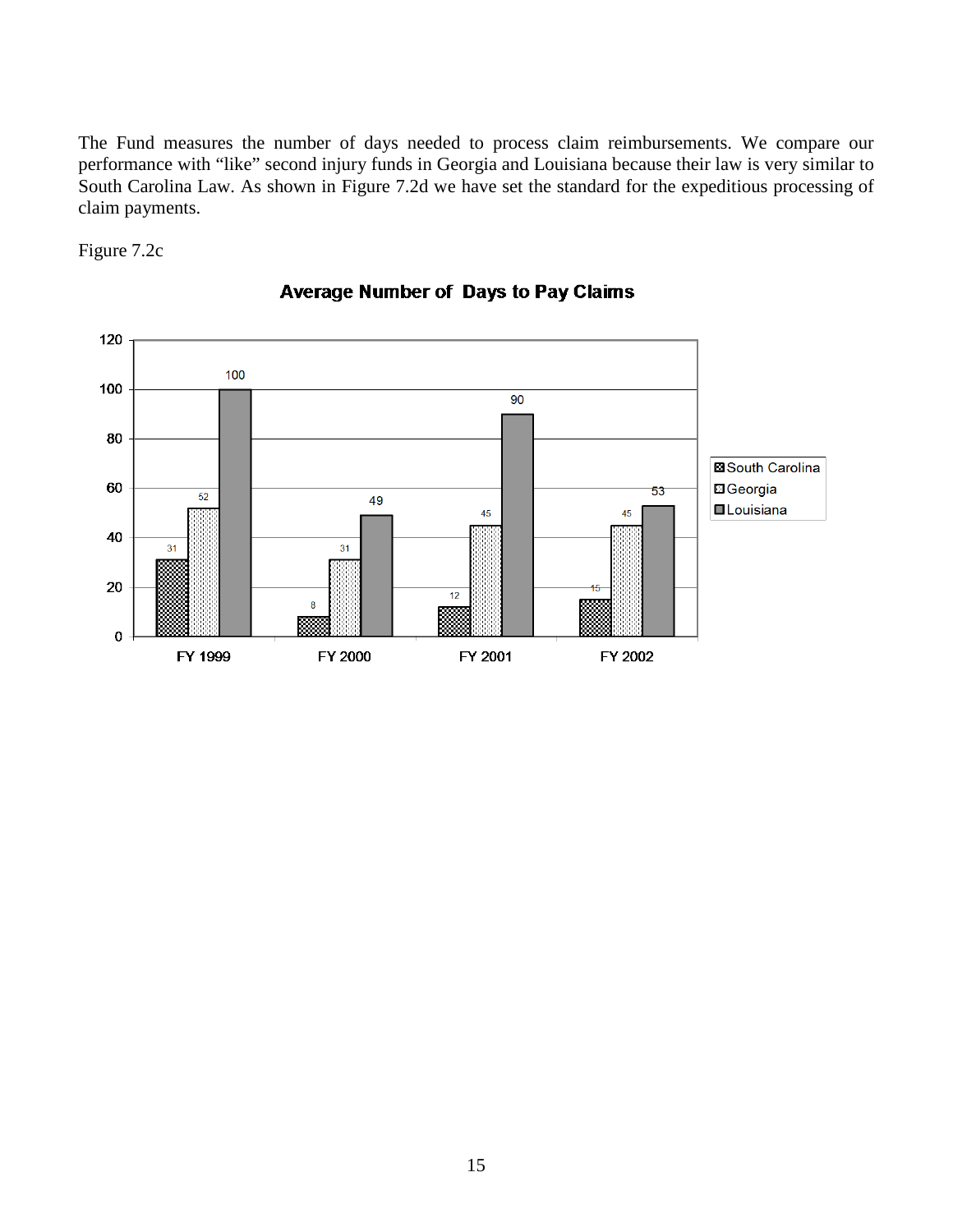The Fund measures the number of days needed to process claim reimbursements. We compare our performance with "like" second injury funds in Georgia and Louisiana because their law is very similar to South Carolina Law. As shown in Figure 7.2d we have set the standard for the expeditious processing of claim payments.

Figure 7.2c



#### **Average Number of Days to Pay Claims**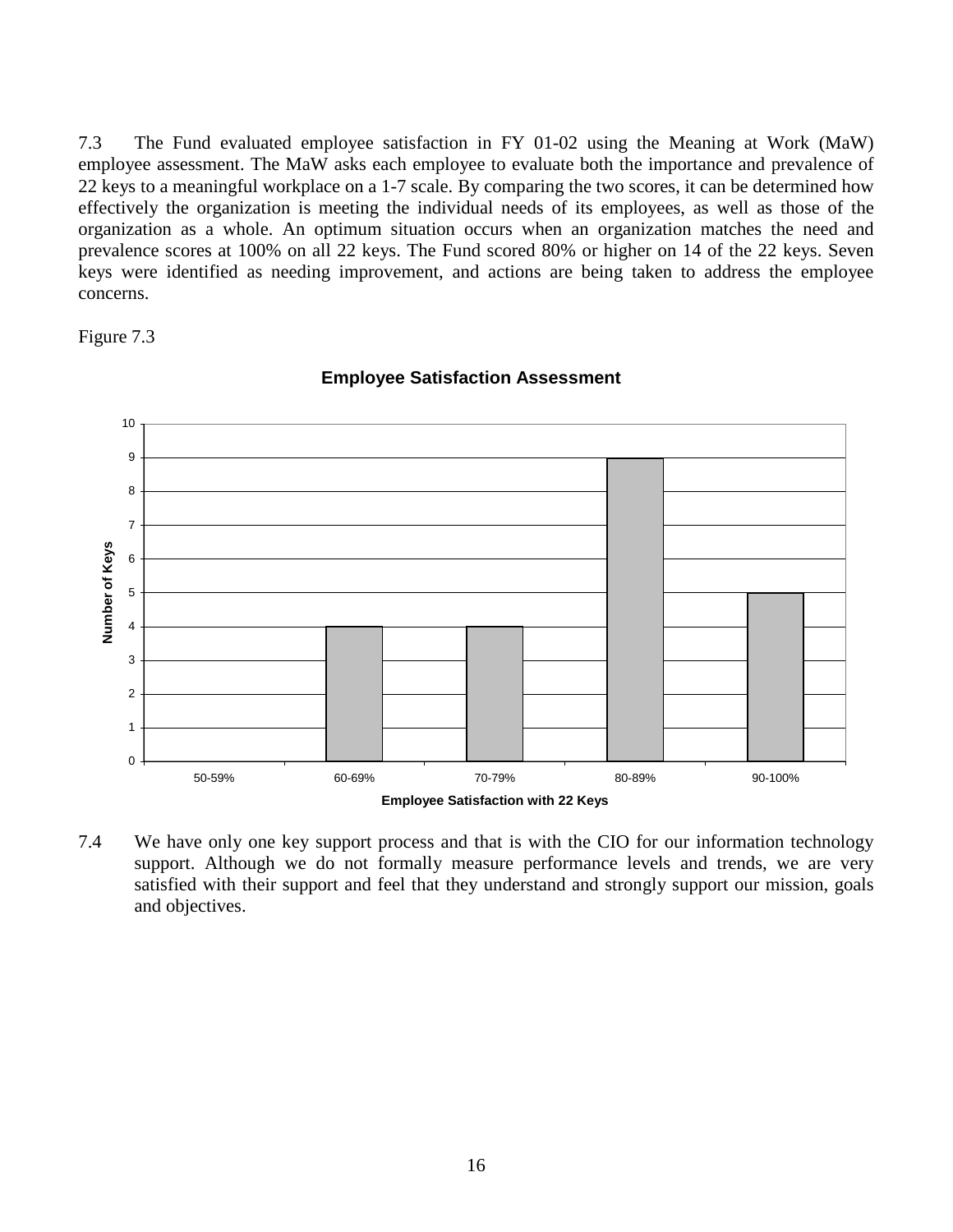7.3 The Fund evaluated employee satisfaction in FY 01-02 using the Meaning at Work (MaW) employee assessment. The MaW asks each employee to evaluate both the importance and prevalence of 22 keys to a meaningful workplace on a 1-7 scale. By comparing the two scores, it can be determined how effectively the organization is meeting the individual needs of its employees, as well as those of the organization as a whole. An optimum situation occurs when an organization matches the need and prevalence scores at 100% on all 22 keys. The Fund scored 80% or higher on 14 of the 22 keys. Seven keys were identified as needing improvement, and actions are being taken to address the employee concerns.

Figure 7.3



**Employee Satisfaction Assessment**

7.4 We have only one key support process and that is with the CIO for our information technology support. Although we do not formally measure performance levels and trends, we are very satisfied with their support and feel that they understand and strongly support our mission, goals and objectives.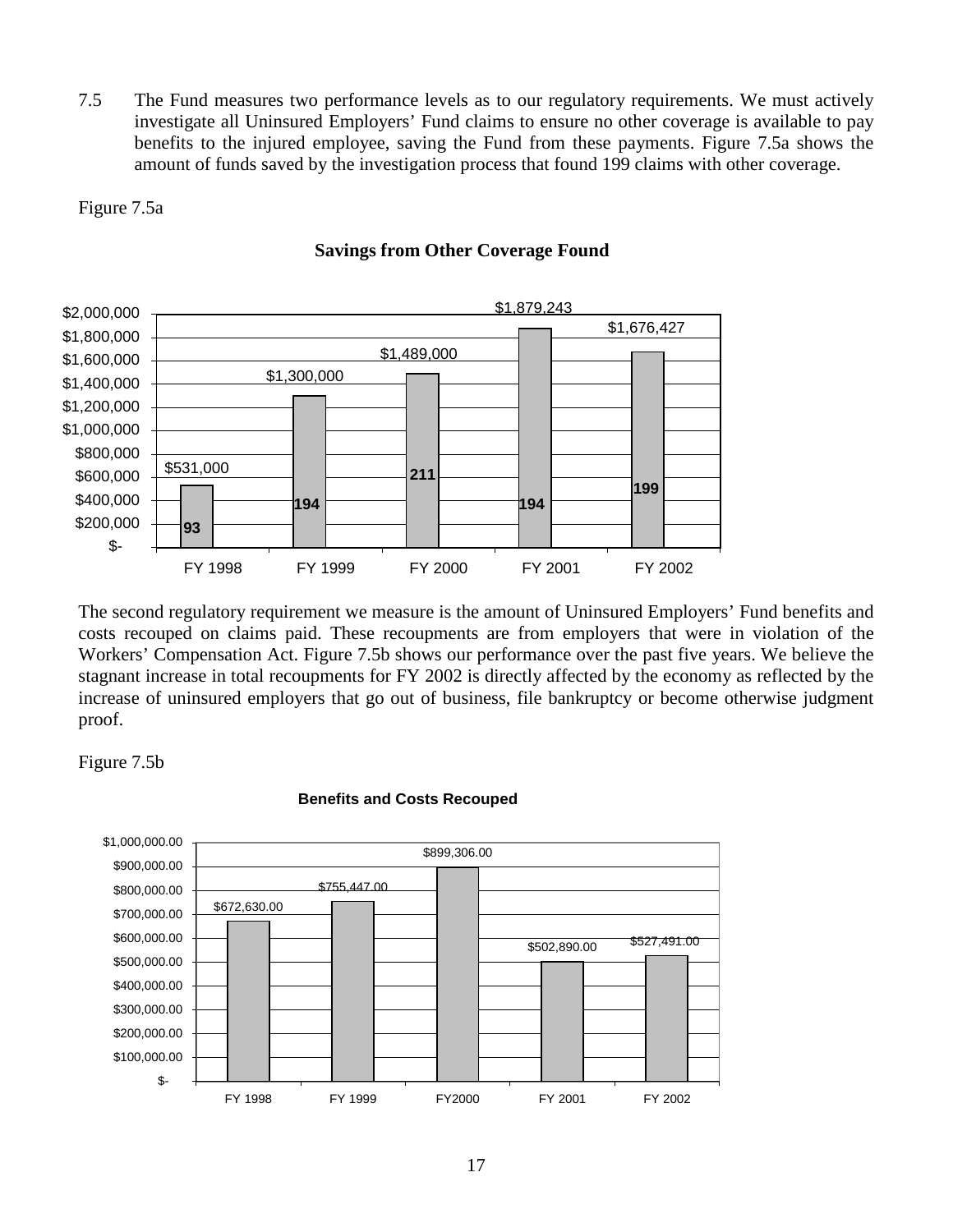7.5 The Fund measures two performance levels as to our regulatory requirements. We must actively investigate all Uninsured Employers' Fund claims to ensure no other coverage is available to pay benefits to the injured employee, saving the Fund from these payments. Figure 7.5a shows the amount of funds saved by the investigation process that found 199 claims with other coverage.

Figure 7.5a



#### **Savings from Other Coverage Found**

The second regulatory requirement we measure is the amount of Uninsured Employers' Fund benefits and costs recouped on claims paid. These recoupments are from employers that were in violation of the Workers' Compensation Act. Figure 7.5b shows our performance over the past five years. We believe the stagnant increase in total recoupments for FY 2002 is directly affected by the economy as reflected by the increase of uninsured employers that go out of business, file bankruptcy or become otherwise judgment proof.

Figure 7.5b



#### **Benefits and Costs Recouped**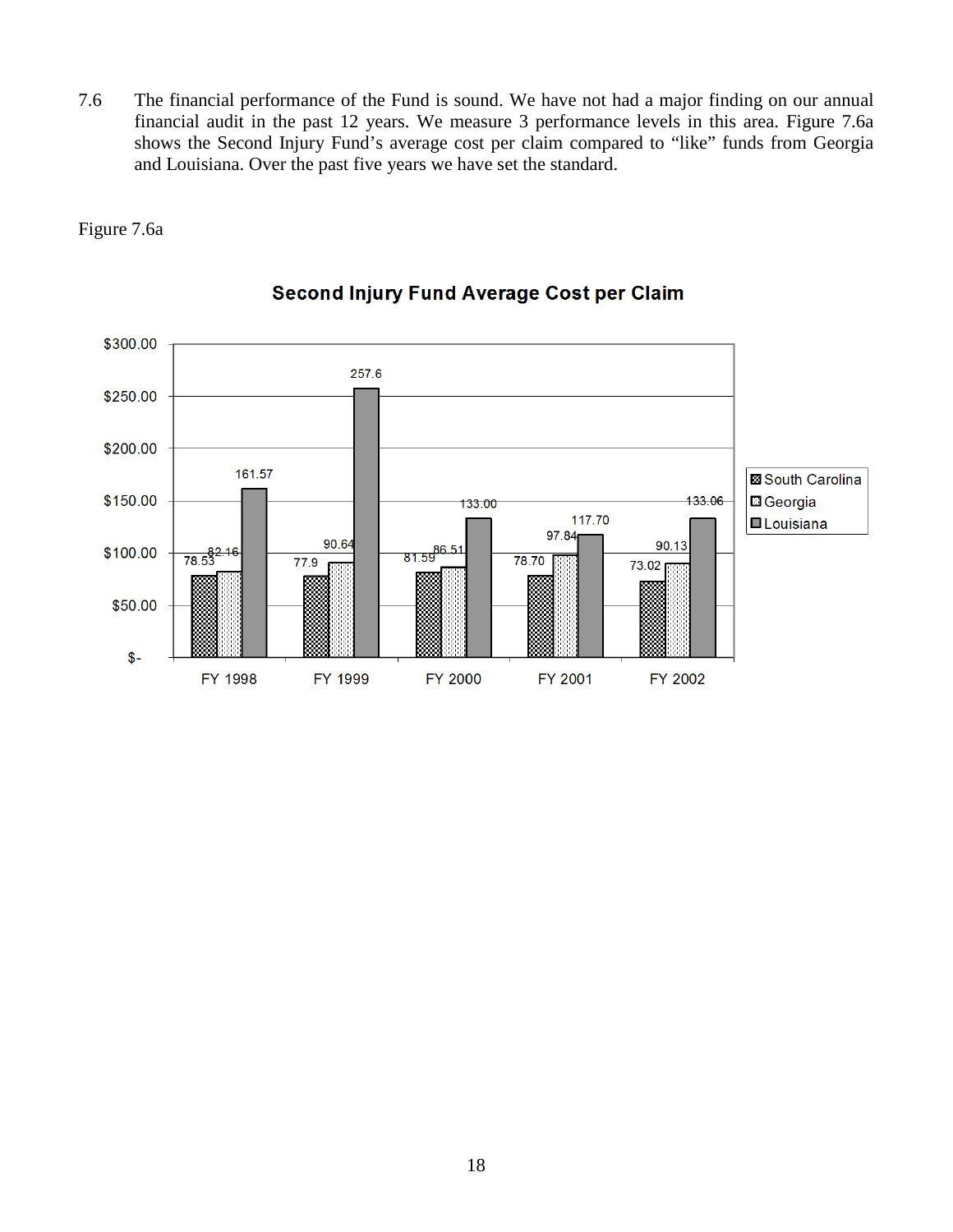7.6 The financial performance of the Fund is sound. We have not had a major finding on our annual financial audit in the past 12 years. We measure 3 performance levels in this area. Figure 7.6a shows the Second Injury Fund's average cost per claim compared to "like" funds from Georgia and Louisiana. Over the past five years we have set the standard.





## Second Injury Fund Average Cost per Claim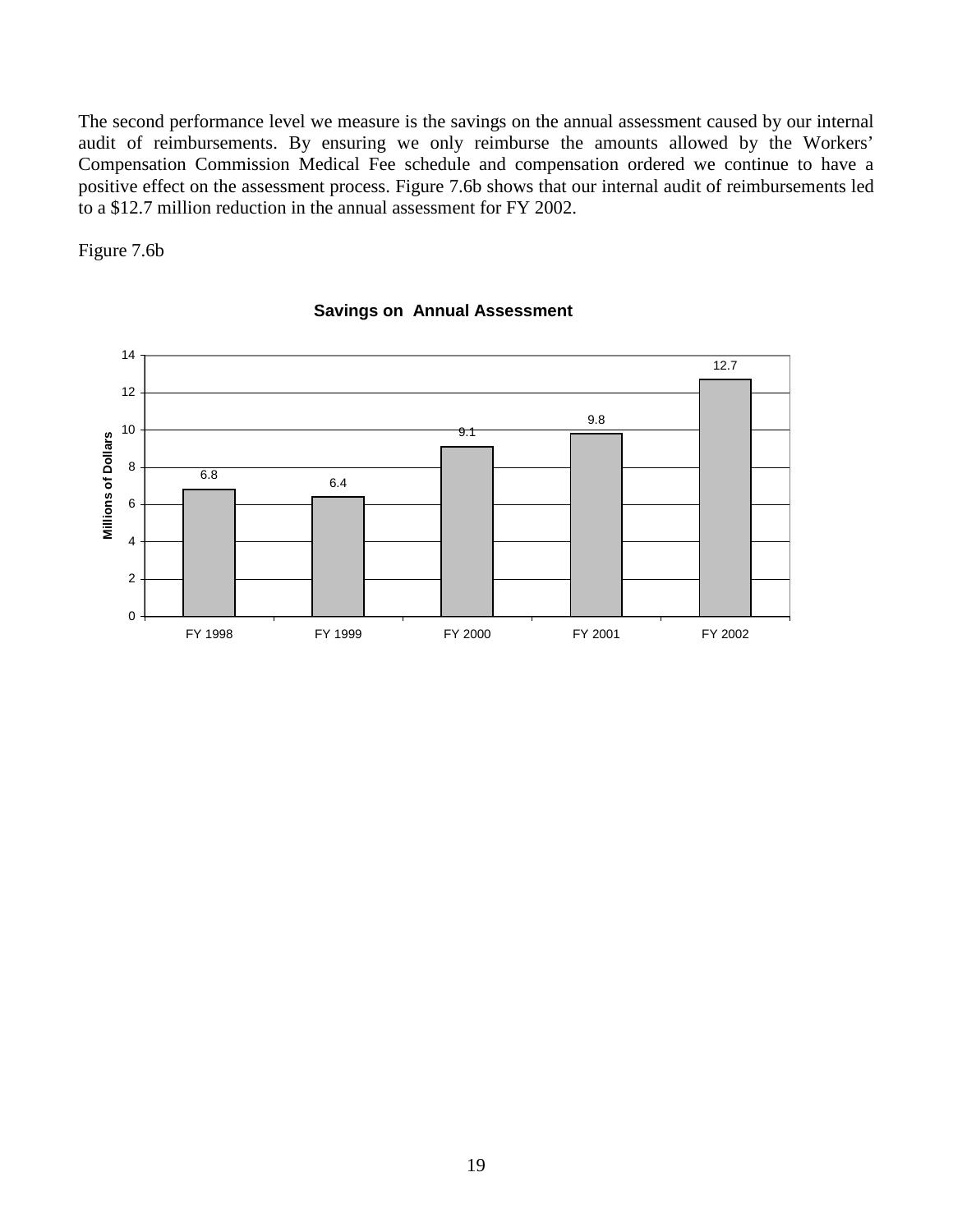The second performance level we measure is the savings on the annual assessment caused by our internal audit of reimbursements. By ensuring we only reimburse the amounts allowed by the Workers' Compensation Commission Medical Fee schedule and compensation ordered we continue to have a positive effect on the assessment process. Figure 7.6b shows that our internal audit of reimbursements led to a \$12.7 million reduction in the annual assessment for FY 2002.

Figure 7.6b



#### **Savings on Annual Assessment**